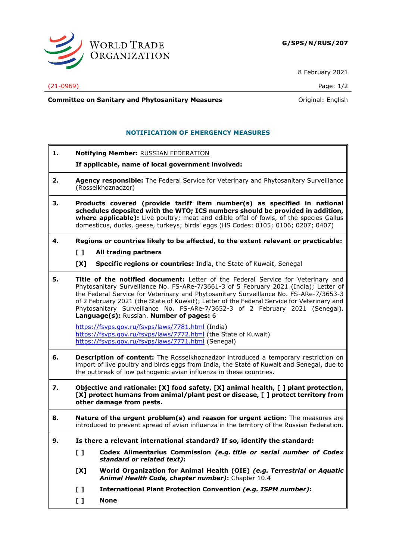

8 February 2021

(21-0969) Page: 1/2

**Committee on Sanitary and Phytosanitary Measures Committee on Sanitary and Phytosanitary Measures Committee And American** 

# **NOTIFICATION OF EMERGENCY MEASURES**

**1. Notifying Member:** RUSSIAN FEDERATION

## **If applicable, name of local government involved:**

- **2. Agency responsible:** The Federal Service for Veterinary and Phytosanitary Surveillance (Rosselkhoznadzor)
- **3. Products covered (provide tariff item number(s) as specified in national schedules deposited with the WTO; ICS numbers should be provided in addition, where applicable):** Live poultry; meat and edible offal of fowls, of the species Gallus domesticus, ducks, geese, turkeys; birds' eggs (HS Codes: 0105; 0106; 0207; 0407)
- **4. Regions or countries likely to be affected, to the extent relevant or practicable:**
	- **[ ] All trading partners**
	- **[X] Specific regions or countries:** India, the State of Kuwait, Senegal
- **5. Title of the notified document:** Letter of the Federal Service for Veterinary and Phytosanitary Surveillance No. FS-ARe-7/3661-3 of 5 February 2021 (India); Letter of the Federal Service for Veterinary and Phytosanitary Surveillance No. FS-ARe-7/3653-3 of 2 February 2021 (the State of Kuwait); Letter of the Federal Service for Veterinary and Phytosanitary Surveillance No. FS-ARe-7/3652-3 of 2 February 2021 (Senegal). **Language(s):** Russian. **Number of pages:** 6

<https://fsvps.gov.ru/fsvps/laws/7781.html> (India) <https://fsvps.gov.ru/fsvps/laws/7772.html> (the State of Kuwait) <https://fsvps.gov.ru/fsvps/laws/7771.html> (Senegal)

- **6. Description of content:** The Rosselkhoznadzor introduced a temporary restriction on import of live poultry and birds eggs from India, the State of Kuwait and Senegal, due to the outbreak of low pathogenic avian influenza in these countries.
- **7. Objective and rationale: [X] food safety, [X] animal health, [ ] plant protection, [X] protect humans from animal/plant pest or disease, [ ] protect territory from other damage from pests.**
- **8. Nature of the urgent problem(s) and reason for urgent action:** The measures are introduced to prevent spread of avian influenza in the territory of the Russian Federation.
- **9. Is there a relevant international standard? If so, identify the standard:** 
	- **[ ] Codex Alimentarius Commission** *(e.g. title or serial number of Codex standard or related text)***:**
	- **[X] World Organization for Animal Health (OIE)** *(e.g. Terrestrial or Aquatic Animal Health Code, chapter number)***:** Chapter 10.4
	- **[ ] International Plant Protection Convention** *(e.g. ISPM number)***:**
	- **[ ] None**